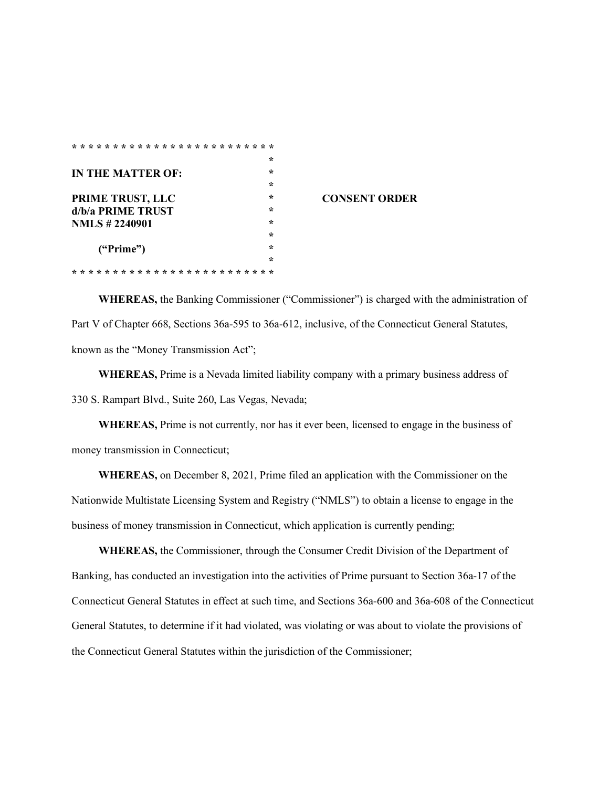| $* *$<br>$\star$<br>* * * * * * * *<br>* *<br>$\star$<br>÷<br>$\star$<br>$\star$ |         |                      |
|----------------------------------------------------------------------------------|---------|----------------------|
|                                                                                  | $\star$ |                      |
| IN THE MATTER OF:                                                                | ÷       |                      |
|                                                                                  | ÷       |                      |
| PRIME TRUST, LLC                                                                 | ÷       | <b>CONSENT ORDER</b> |
| d/b/a PRIME TRUST                                                                | ÷       |                      |
| <b>NMLS</b> #2240901                                                             | ÷       |                      |
|                                                                                  | $\star$ |                      |
| ("Prime")                                                                        | ÷       |                      |
|                                                                                  | ÷       |                      |
|                                                                                  |         |                      |

**WHEREAS,** the Banking Commissioner ("Commissioner") is charged with the administration of Part V of Chapter 668, Sections 36a-595 to 36a-612, inclusive, of the Connecticut General Statutes, known as the "Money Transmission Act";

**WHEREAS,** Prime is a Nevada limited liability company with a primary business address of 330 S. Rampart Blvd., Suite 260, Las Vegas, Nevada;

**WHEREAS,** Prime is not currently, nor has it ever been, licensed to engage in the business of money transmission in Connecticut;

**WHEREAS,** on December 8, 2021, Prime filed an application with the Commissioner on the Nationwide Multistate Licensing System and Registry ("NMLS") to obtain a license to engage in the business of money transmission in Connecticut, which application is currently pending;

**WHEREAS,** the Commissioner, through the Consumer Credit Division of the Department of Banking, has conducted an investigation into the activities of Prime pursuant to Section 36a-17 of the Connecticut General Statutes in effect at such time, and Sections 36a-600 and 36a-608 of the Connecticut General Statutes, to determine if it had violated, was violating or was about to violate the provisions of the Connecticut General Statutes within the jurisdiction of the Commissioner;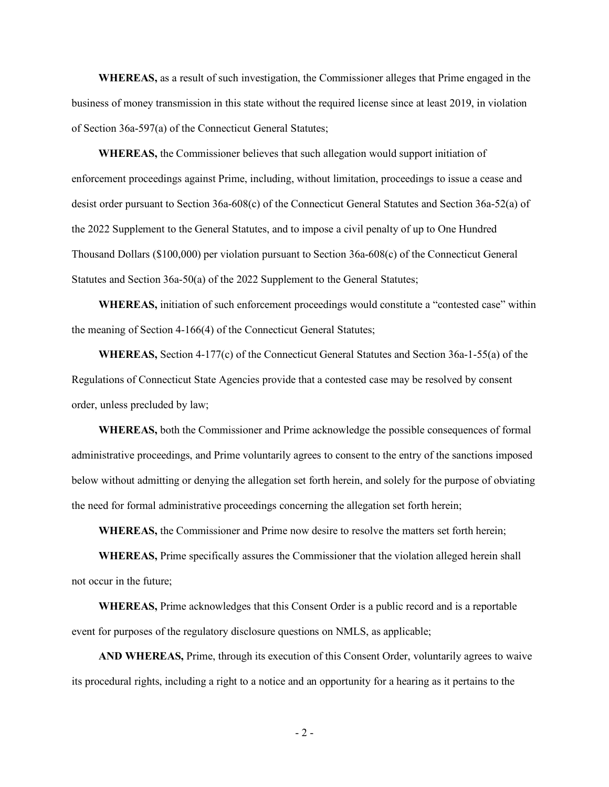**WHEREAS,** as a result of such investigation, the Commissioner alleges that Prime engaged in the business of money transmission in this state without the required license since at least 2019, in violation of Section 36a-597(a) of the Connecticut General Statutes;

**WHEREAS,** the Commissioner believes that such allegation would support initiation of enforcement proceedings against Prime, including, without limitation, proceedings to issue a cease and desist order pursuant to Section 36a-608(c) of the Connecticut General Statutes and Section 36a-52(a) of the 2022 Supplement to the General Statutes, and to impose a civil penalty of up to One Hundred Thousand Dollars (\$100,000) per violation pursuant to Section 36a-608(c) of the Connecticut General Statutes and Section 36a-50(a) of the 2022 Supplement to the General Statutes;

**WHEREAS,** initiation of such enforcement proceedings would constitute a "contested case" within the meaning of Section 4-166(4) of the Connecticut General Statutes;

**WHEREAS,** Section 4-177(c) of the Connecticut General Statutes and Section 36a-1-55(a) of the Regulations of Connecticut State Agencies provide that a contested case may be resolved by consent order, unless precluded by law;

**WHEREAS,** both the Commissioner and Prime acknowledge the possible consequences of formal administrative proceedings, and Prime voluntarily agrees to consent to the entry of the sanctions imposed below without admitting or denying the allegation set forth herein, and solely for the purpose of obviating the need for formal administrative proceedings concerning the allegation set forth herein;

**WHEREAS,** the Commissioner and Prime now desire to resolve the matters set forth herein;

**WHEREAS,** Prime specifically assures the Commissioner that the violation alleged herein shall not occur in the future;

**WHEREAS,** Prime acknowledges that this Consent Order is a public record and is a reportable event for purposes of the regulatory disclosure questions on NMLS, as applicable;

**AND WHEREAS,** Prime, through its execution of this Consent Order, voluntarily agrees to waive its procedural rights, including a right to a notice and an opportunity for a hearing as it pertains to the

- 2 -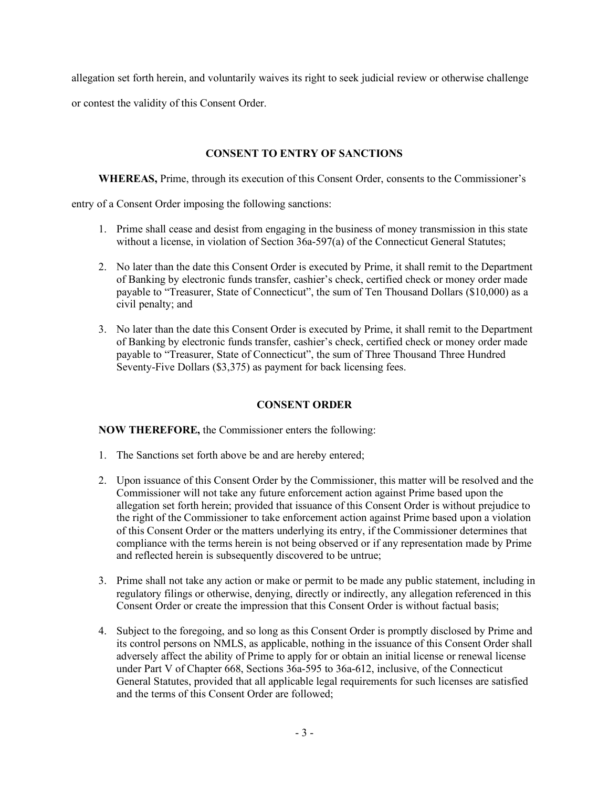allegation set forth herein, and voluntarily waives its right to seek judicial review or otherwise challenge

or contest the validity of this Consent Order.

## **CONSENT TO ENTRY OF SANCTIONS**

**WHEREAS,** Prime, through its execution of this Consent Order, consents to the Commissioner's

entry of a Consent Order imposing the following sanctions:

- 1. Prime shall cease and desist from engaging in the business of money transmission in this state without a license, in violation of Section 36a-597(a) of the Connecticut General Statutes;
- 2. No later than the date this Consent Order is executed by Prime, it shall remit to the Department of Banking by electronic funds transfer, cashier's check, certified check or money order made payable to "Treasurer, State of Connecticut", the sum of Ten Thousand Dollars (\$10,000) as a civil penalty; and
- 3. No later than the date this Consent Order is executed by Prime, it shall remit to the Department of Banking by electronic funds transfer, cashier's check, certified check or money order made payable to "Treasurer, State of Connecticut", the sum of Three Thousand Three Hundred Seventy-Five Dollars (\$3,375) as payment for back licensing fees.

## **CONSENT ORDER**

**NOW THEREFORE,** the Commissioner enters the following:

- 1. The Sanctions set forth above be and are hereby entered;
- 2. Upon issuance of this Consent Order by the Commissioner, this matter will be resolved and the Commissioner will not take any future enforcement action against Prime based upon the allegation set forth herein; provided that issuance of this Consent Order is without prejudice to the right of the Commissioner to take enforcement action against Prime based upon a violation of this Consent Order or the matters underlying its entry, if the Commissioner determines that compliance with the terms herein is not being observed or if any representation made by Prime and reflected herein is subsequently discovered to be untrue;
- 3. Prime shall not take any action or make or permit to be made any public statement, including in regulatory filings or otherwise, denying, directly or indirectly, any allegation referenced in this Consent Order or create the impression that this Consent Order is without factual basis;
- 4. Subject to the foregoing, and so long as this Consent Order is promptly disclosed by Prime and its control persons on NMLS, as applicable, nothing in the issuance of this Consent Order shall adversely affect the ability of Prime to apply for or obtain an initial license or renewal license under Part V of Chapter 668, Sections 36a-595 to 36a-612, inclusive, of the Connecticut General Statutes, provided that all applicable legal requirements for such licenses are satisfied and the terms of this Consent Order are followed;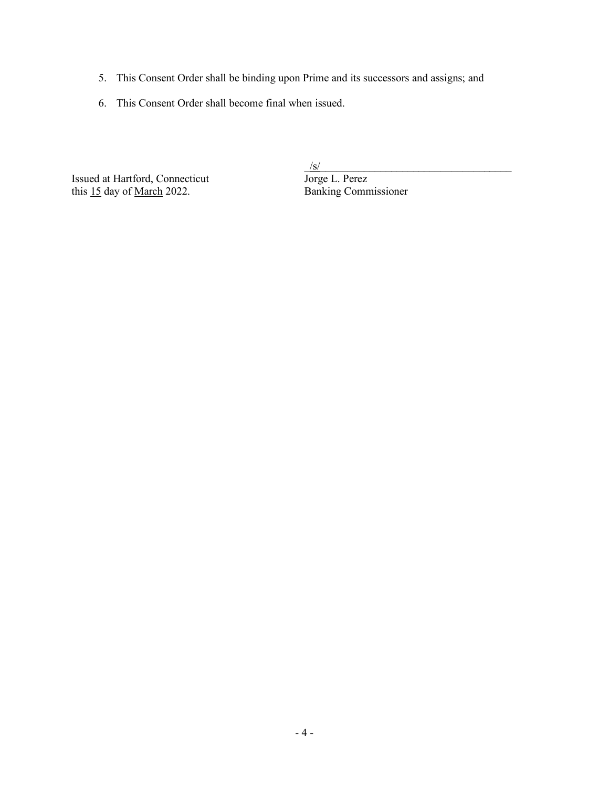- 5. This Consent Order shall be binding upon Prime and its successors and assigns; and
- 6. This Consent Order shall become final when issued.

Issued at Hartford, Connecticut<br>
this 15 day of <u>March</u> 2022. Banking Commissioner this  $15$  day of March 2022.

 $\frac{g/s}{\text{Jorge L. Perez}}$